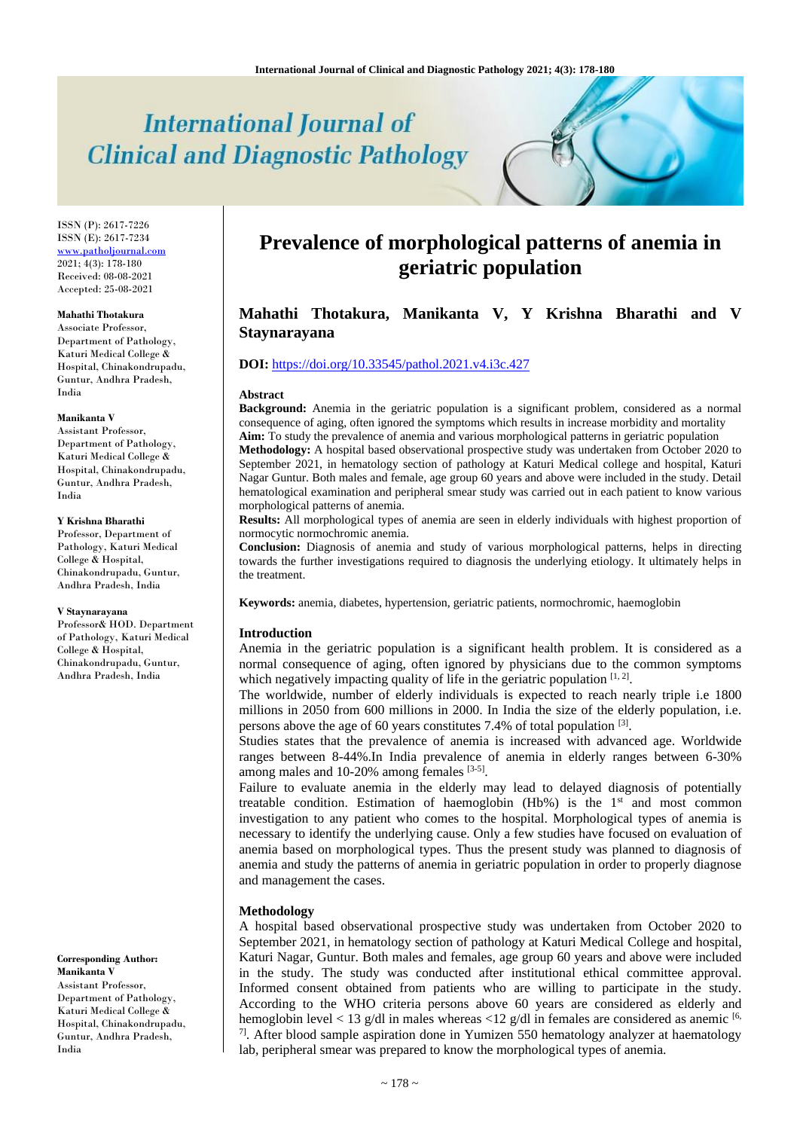# **International Journal of Clinical and Diagnostic Pathology**

ISSN (P): 2617-7226 ISSN (E): 2617-7234 [www.patholjournal.com](http://www.patholjournal.com/)  $2021; 4(3): 178-180$ Received: 08-08-2021 Accepted: 25-08-2021

#### **Mahathi Thotakura**

Associate Professor, Department of Pathology, Katuri Medical College & Hospital, Chinakondrupadu, Guntur, Andhra Pradesh, India

#### **Manikanta V**

Assistant Professor, Department of Pathology, Katuri Medical College & Hospital, Chinakondrupadu, Guntur, Andhra Pradesh, India

# **Y Krishna Bharathi**

Professor, Department of Pathology, Katuri Medical College & Hospital, Chinakondrupadu, Guntur, Andhra Pradesh, India

#### **V Staynarayana**

Professor& HOD. Department of Pathology, Katuri Medical College & Hospital, Chinakondrupadu, Guntur, Andhra Pradesh, India

**Corresponding Author: Manikanta V** Assistant Professor, Department of Pathology, Katuri Medical College &

Hospital, Chinakondrupadu, Guntur, Andhra Pradesh, India

# **Prevalence of morphological patterns of anemia in geriatric population**

# **Mahathi Thotakura, Manikanta V, Y Krishna Bharathi and V Staynarayana**

# **DOI:** <https://doi.org/10.33545/pathol.2021.v4.i3c.427>

#### **Abstract**

**Background:** Anemia in the geriatric population is a significant problem, considered as a normal consequence of aging, often ignored the symptoms which results in increase morbidity and mortality **Aim:** To study the prevalence of anemia and various morphological patterns in geriatric population **Methodology:** A hospital based observational prospective study was undertaken from October 2020 to September 2021, in hematology section of pathology at Katuri Medical college and hospital, Katuri Nagar Guntur. Both males and female, age group 60 years and above were included in the study. Detail hematological examination and peripheral smear study was carried out in each patient to know various morphological patterns of anemia.

**Results:** All morphological types of anemia are seen in elderly individuals with highest proportion of normocytic normochromic anemia.

**Conclusion:** Diagnosis of anemia and study of various morphological patterns, helps in directing towards the further investigations required to diagnosis the underlying etiology. It ultimately helps in the treatment.

**Keywords:** anemia, diabetes, hypertension, geriatric patients, normochromic, haemoglobin

#### **Introduction**

Anemia in the geriatric population is a significant health problem. It is considered as a normal consequence of aging, often ignored by physicians due to the common symptoms which negatively impacting quality of life in the geriatric population  $[1, 2]$ .

The worldwide, number of elderly individuals is expected to reach nearly triple i.e 1800 millions in 2050 from 600 millions in 2000. In India the size of the elderly population, i.e. persons above the age of 60 years constitutes 7.4% of total population [3].

Studies states that the prevalence of anemia is increased with advanced age. Worldwide ranges between 8-44%.In India prevalence of anemia in elderly ranges between 6-30% among males and 10-20% among females [3-5].

Failure to evaluate anemia in the elderly may lead to delayed diagnosis of potentially treatable condition. Estimation of haemoglobin  $(Hb\%)$  is the  $1<sup>st</sup>$  and most common investigation to any patient who comes to the hospital. Morphological types of anemia is necessary to identify the underlying cause. Only a few studies have focused on evaluation of anemia based on morphological types. Thus the present study was planned to diagnosis of anemia and study the patterns of anemia in geriatric population in order to properly diagnose and management the cases.

# **Methodology**

A hospital based observational prospective study was undertaken from October 2020 to September 2021, in hematology section of pathology at Katuri Medical College and hospital, Katuri Nagar, Guntur. Both males and females, age group 60 years and above were included in the study. The study was conducted after institutional ethical committee approval. Informed consent obtained from patients who are willing to participate in the study. According to the WHO criteria persons above 60 years are considered as elderly and hemoglobin level < 13 g/dl in males whereas < 12 g/dl in females are considered as anemic  $[6, 12]$  $7$ ]. After blood sample aspiration done in Yumizen 550 hematology analyzer at haematology lab, peripheral smear was prepared to know the morphological types of anemia.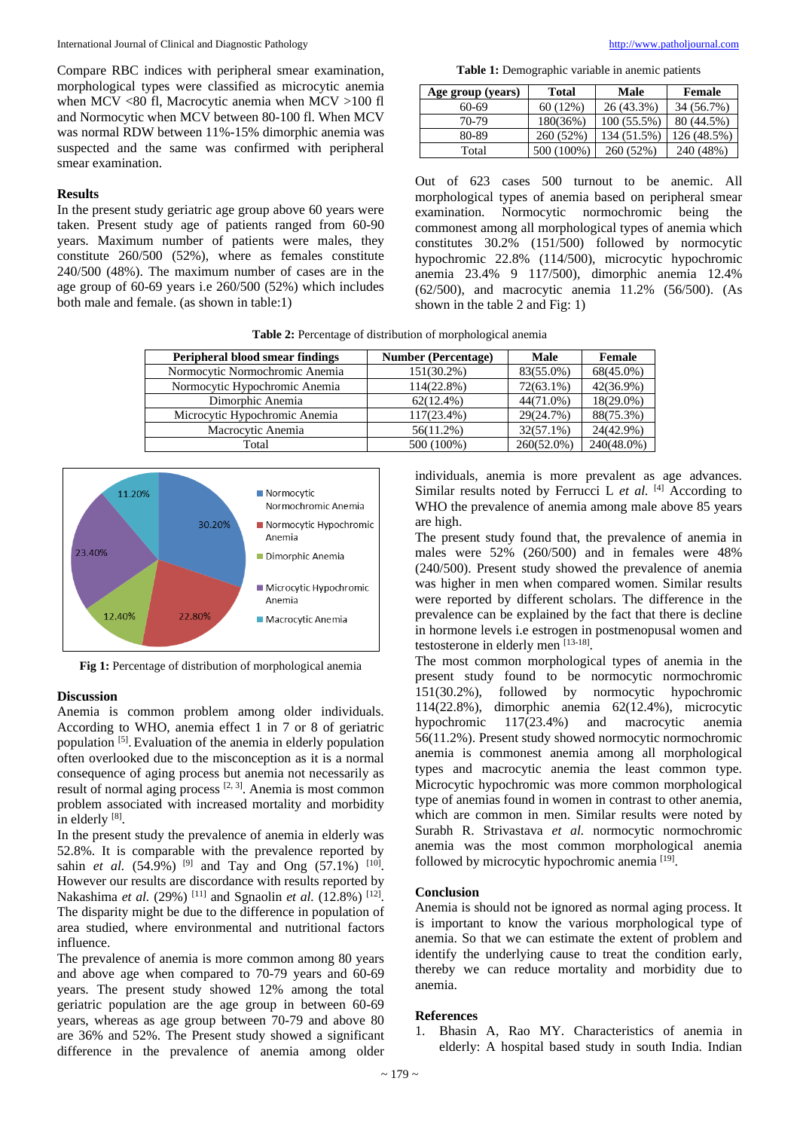Compare RBC indices with peripheral smear examination, morphological types were classified as microcytic anemia when MCV <80 fl, Macrocytic anemia when MCV >100 fl and Normocytic when MCV between 80-100 fl. When MCV was normal RDW between 11%-15% dimorphic anemia was suspected and the same was confirmed with peripheral smear examination.

# **Results**

In the present study geriatric age group above 60 years were taken. Present study age of patients ranged from 60-90 years. Maximum number of patients were males, they constitute 260/500 (52%), where as females constitute 240/500 (48%). The maximum number of cases are in the age group of 60-69 years i.e 260/500 (52%) which includes both male and female. (as shown in table:1)

**Table 1:** Demographic variable in anemic patients

| Age group (years) | <b>Total</b> | Male          | Female      |
|-------------------|--------------|---------------|-------------|
| 60-69             | 60(12%)      | 26 (43.3%)    | 34 (56.7%)  |
| 70-79             | 180(36%)     | $100(55.5\%)$ | 80 (44.5%)  |
| 80-89             | 260 (52%)    | 134 (51.5%)   | 126 (48.5%) |
| Total             | 500 (100%)   | 260 (52%)     | 240 (48%)   |

Out of 623 cases 500 turnout to be anemic. All morphological types of anemia based on peripheral smear<br>examination. Normocytic normochromic being the examination. Normocytic normochromic commonest among all morphological types of anemia which constitutes 30.2% (151/500) followed by normocytic hypochromic 22.8% (114/500), microcytic hypochromic anemia 23.4% 9 117/500), dimorphic anemia 12.4% (62/500), and macrocytic anemia 11.2% (56/500). (As shown in the table 2 and Fig: 1)

**Table 2:** Percentage of distribution of morphological anemia

| Peripheral blood smear findings | <b>Number (Percentage)</b> | <b>Male</b>   | Female       |
|---------------------------------|----------------------------|---------------|--------------|
| Normocytic Normochromic Anemia  | $151(30.2\%)$              | 83(55.0%)     | $68(45.0\%)$ |
| Normocytic Hypochromic Anemia   | $114(22.8\%)$              | $72(63.1\%)$  | 42(36.9%)    |
| Dimorphic Anemia                | $62(12.4\%)$               | 44(71.0%)     | $18(29.0\%)$ |
| Microcytic Hypochromic Anemia   | 117(23.4%)                 | 29(24.7%)     | 88(75.3%)    |
| Macrocytic Anemia               | $56(11.2\%)$               | $32(57.1\%)$  | 24(42.9%)    |
| Total                           | 500 (100%)                 | $260(52.0\%)$ | 240(48.0%)   |



**Fig 1:** Percentage of distribution of morphological anemia

# **Discussion**

Anemia is common problem among older individuals. According to WHO, anemia effect 1 in 7 or 8 of geriatric population [5]. Evaluation of the anemia in elderly population often overlooked due to the misconception as it is a normal consequence of aging process but anemia not necessarily as result of normal aging process  $[2, 3]$ . Anemia is most common problem associated with increased mortality and morbidity in elderly [8].

In the present study the prevalence of anemia in elderly was 52.8%. It is comparable with the prevalence reported by sahin *et al.* (54.9%) <sup>[9]</sup> and Tay and Ong (57.1%) <sup>[10]</sup>. However our results are discordance with results reported by Nakashima *et al.* (29%) <sup>[11]</sup> and Sgnaolin *et al.* (12.8%) <sup>[12]</sup>. The disparity might be due to the difference in population of area studied, where environmental and nutritional factors influence.

The prevalence of anemia is more common among 80 years and above age when compared to 70-79 years and 60-69 years. The present study showed 12% among the total geriatric population are the age group in between 60-69 years, whereas as age group between 70-79 and above 80 are 36% and 52%. The Present study showed a significant difference in the prevalence of anemia among older

individuals, anemia is more prevalent as age advances. Similar results noted by Ferrucci L *et al.* [4] According to WHO the prevalence of anemia among male above 85 years are high.

The present study found that, the prevalence of anemia in males were 52% (260/500) and in females were 48% (240/500). Present study showed the prevalence of anemia was higher in men when compared women. Similar results were reported by different scholars. The difference in the prevalence can be explained by the fact that there is decline in hormone levels i.e estrogen in postmenopusal women and testosterone in elderly men [13-18].

The most common morphological types of anemia in the present study found to be normocytic normochromic 151(30.2%), followed by normocytic hypochromic 114(22.8%), dimorphic anemia 62(12.4%), microcytic hypochromic 117(23.4%) and macrocytic anemia 56(11.2%). Present study showed normocytic normochromic anemia is commonest anemia among all morphological types and macrocytic anemia the least common type. Microcytic hypochromic was more common morphological type of anemias found in women in contrast to other anemia, which are common in men. Similar results were noted by Surabh R. Strivastava *et al.* normocytic normochromic anemia was the most common morphological anemia followed by microcytic hypochromic anemia<sup>[19]</sup>.

# **Conclusion**

Anemia is should not be ignored as normal aging process. It is important to know the various morphological type of anemia. So that we can estimate the extent of problem and identify the underlying cause to treat the condition early, thereby we can reduce mortality and morbidity due to anemia.

#### **References**

1. Bhasin A, Rao MY. Characteristics of anemia in elderly: A hospital based study in south India. Indian